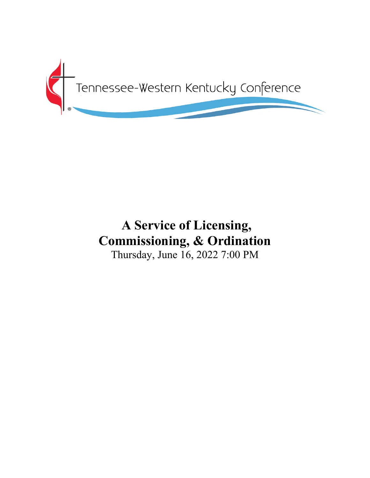

# **A Service of Licensing, Commissioning, & Ordination**

Thursday, June 16, 2022 7:00 PM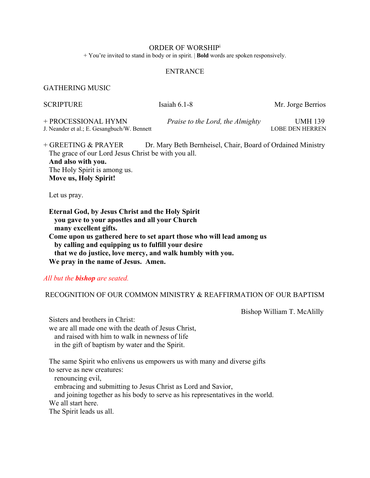#### ORDER OF WORSHIPi

+ You're invited to stand in body or in spirit. | **Bold** words are spoken responsively.

#### **ENTRANCE**

#### GATHERING MUSIC

| <b>SCRIPTURE</b>                                                   | Isaiah $6.1-8$                                              | Mr. Jorge Berrios          |
|--------------------------------------------------------------------|-------------------------------------------------------------|----------------------------|
| + PROCESSIONAL HYMN<br>J. Neander et al.; E. Gesangbuch/W. Bennett | Praise to the Lord, the Almighty                            | UMH 139<br>LOBE DEN HERREN |
| $+$ GREETING & PRAVER                                              | Dr. Mary Reth Rernheisel, Chair, Roard of Ordained Ministry |                            |

HREETING & PRAYER Dr. Mary Beth Bernheisel, Chair, Board of Ordained Ministry The grace of our Lord Jesus Christ be with you all.  **And also with you.** The Holy Spirit is among us.  **Move us, Holy Spirit!**

Let us pray.

 **Eternal God, by Jesus Christ and the Holy Spirit you gave to your apostles and all your Church many excellent gifts. Come upon us gathered here to set apart those who will lead among us by calling and equipping us to fulfill your desire that we do justice, love mercy, and walk humbly with you. We pray in the name of Jesus. Amen.**

## *All but the bishop are seated.*

## RECOGNITION OF OUR COMMON MINISTRY & REAFFIRMATION OF OUR BAPTISM

**Bishop William T. McAlilly** 

 Sisters and brothers in Christ: we are all made one with the death of Jesus Christ, and raised with him to walk in newness of life in the gift of baptism by water and the Spirit.

 The same Spirit who enlivens us empowers us with many and diverse gifts to serve as new creatures:

 renouncing evil, embracing and submitting to Jesus Christ as Lord and Savior, and joining together as his body to serve as his representatives in the world. We all start here. The Spirit leads us all.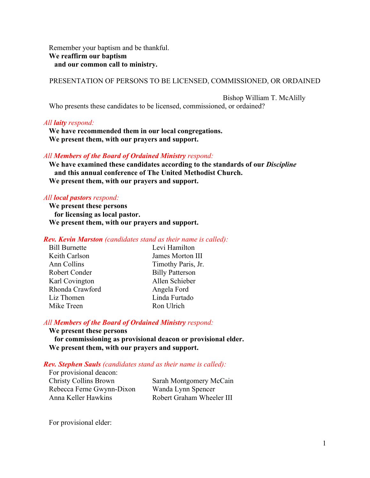Remember your baptism and be thankful. **We reaffirm our baptism and our common call to ministry.**

PRESENTATION OF PERSONS TO BE LICENSED, COMMISSIONED, OR ORDAINED

 Bishop William T. McAlilly Who presents these candidates to be licensed, commissioned, or ordained?

## *All laity respond:*

 **We have recommended them in our local congregations. We present them, with our prayers and support.**

## *All Members of the Board of Ordained Ministry respond:*

 **We have examined these candidates according to the standards of our** *Discipline*  **and this annual conference of The United Methodist Church. We present them, with our prayers and support.**

## *All local pastors respond:*

 **We present these persons for licensing as local pastor. We present them, with our prayers and support.**

## *Rev. Kevin Marston (candidates stand as their name is called):*

| <b>Bill Burnette</b> | Levi Hamilton          |
|----------------------|------------------------|
| Keith Carlson        | James Morton III       |
| Ann Collins          | Timothy Paris, Jr.     |
| Robert Conder        | <b>Billy Patterson</b> |
| Karl Covington       | Allen Schieber         |
| Rhonda Crawford      | Angela Ford            |
| Liz Thomen           | Linda Furtado          |
| Mike Treen           | Ron Ulrich             |

## *All Members of the Board of Ordained Ministry respond:*

 **We present these persons for commissioning as provisional deacon or provisional elder. We present them, with our prayers and support.**

## *Rev. Stephen Sauls (candidates stand as their name is called):*

| For provisional deacon:      |
|------------------------------|
| <b>Christy Collins Brown</b> |
| Rebecca Ferne Gwynn-Dixon    |
| Anna Keller Hawkins          |

Sarah Montgomery McCain Wanda Lynn Spencer Robert Graham Wheeler III

For provisional elder: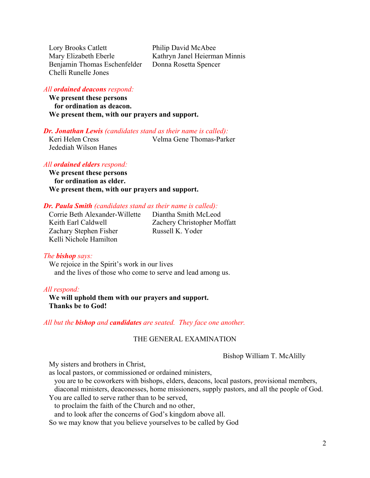Lory Brooks Catlett Philip David McAbee Mary Elizabeth Eberle Kathryn Janel Heierman Minnis Benjamin Thomas Eschenfelder Donna Rosetta Spencer Chelli Runelle Jones

## *All ordained deacons respond:*

 **We present these persons for ordination as deacon. We present them, with our prayers and support.**

## *Dr. Jonathan Lewis (candidates stand as their name is called):*

 Keri Helen Cress Velma Gene Thomas-Parker Jedediah Wilson Hanes

#### *All ordained elders respond:*

 **We present these persons for ordination as elder. We present them, with our prayers and support.**

#### *Dr. Paula Smith (candidates stand as their name is called):*

 Corrie Beth Alexander-Willette Diantha Smith McLeod Zachary Stephen Fisher Russell K. Yoder Kelli Nichole Hamilton

Keith Earl Caldwell Zachery Christopher Moffatt

#### *The bishop says:*

 We rejoice in the Spirit's work in our lives and the lives of those who come to serve and lead among us.

#### *All respond:*

 **We will uphold them with our prayers and support. Thanks be to God!**

## *All but the bishop and candidates are seated. They face one another.*

#### THE GENERAL EXAMINATION

Bishop William T. McAlilly

My sisters and brothers in Christ,

as local pastors, or commissioned or ordained ministers,

you are to be coworkers with bishops, elders, deacons, local pastors, provisional members,

diaconal ministers, deaconesses, home missioners, supply pastors, and all the people of God.

You are called to serve rather than to be served,

to proclaim the faith of the Church and no other,

and to look after the concerns of God's kingdom above all.

So we may know that you believe yourselves to be called by God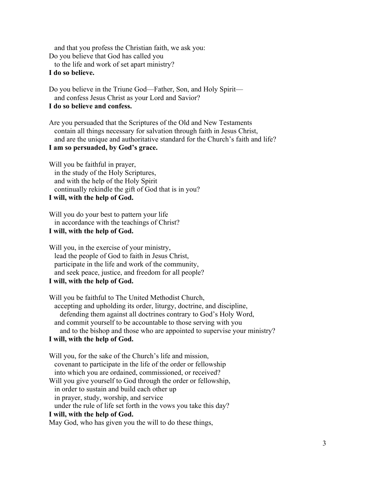and that you profess the Christian faith, we ask you: Do you believe that God has called you to the life and work of set apart ministry?  **I do so believe.**

 Do you believe in the Triune God—Father, Son, and Holy Spirit and confess Jesus Christ as your Lord and Savior?  **I do so believe and confess.**

 Are you persuaded that the Scriptures of the Old and New Testaments contain all things necessary for salvation through faith in Jesus Christ, and are the unique and authoritative standard for the Church's faith and life?

# **I am so persuaded, by God's grace.**

 Will you be faithful in prayer, in the study of the Holy Scriptures, and with the help of the Holy Spirit continually rekindle the gift of God that is in you?  **I will, with the help of God.**

 Will you do your best to pattern your life in accordance with the teachings of Christ?  **I will, with the help of God.**

 Will you, in the exercise of your ministry, lead the people of God to faith in Jesus Christ, participate in the life and work of the community, and seek peace, justice, and freedom for all people?  **I will, with the help of God.**

 Will you be faithful to The United Methodist Church, accepting and upholding its order, liturgy, doctrine, and discipline, defending them against all doctrines contrary to God's Holy Word, and commit yourself to be accountable to those serving with you and to the bishop and those who are appointed to supervise your ministry?  **I will, with the help of God.**

 Will you, for the sake of the Church's life and mission, covenant to participate in the life of the order or fellowship into which you are ordained, commissioned, or received? Will you give yourself to God through the order or fellowship, in order to sustain and build each other up in prayer, study, worship, and service under the rule of life set forth in the vows you take this day?  **I will, with the help of God.** May God, who has given you the will to do these things,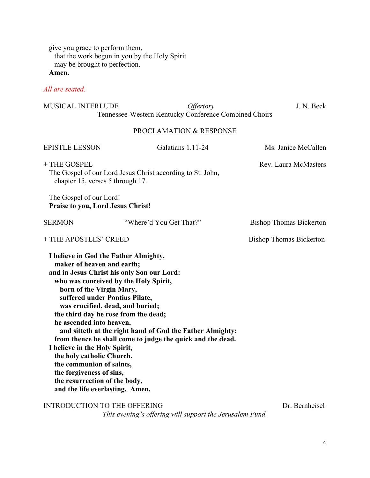give you grace to perform them, that the work begun in you by the Holy Spirit may be brought to perfection.

 **Amen.**

## *All are seated.*

| <b>MUSICAL INTERLUDE</b>                                                                                                                                                                                                                                                                                                                                                                                                                                                                                                                                                                                                                              | <i><b>Offertory</b></i><br>Tennessee-Western Kentucky Conference Combined Choirs | J. N. Beck                     |
|-------------------------------------------------------------------------------------------------------------------------------------------------------------------------------------------------------------------------------------------------------------------------------------------------------------------------------------------------------------------------------------------------------------------------------------------------------------------------------------------------------------------------------------------------------------------------------------------------------------------------------------------------------|----------------------------------------------------------------------------------|--------------------------------|
|                                                                                                                                                                                                                                                                                                                                                                                                                                                                                                                                                                                                                                                       | PROCLAMATION & RESPONSE                                                          |                                |
| <b>EPISTLE LESSON</b>                                                                                                                                                                                                                                                                                                                                                                                                                                                                                                                                                                                                                                 | Galatians 1.11-24                                                                | Ms. Janice McCallen            |
| + THE GOSPEL<br>chapter 15, verses 5 through 17.                                                                                                                                                                                                                                                                                                                                                                                                                                                                                                                                                                                                      | The Gospel of our Lord Jesus Christ according to St. John,                       | Rev. Laura McMasters           |
| The Gospel of our Lord!<br><b>Praise to you, Lord Jesus Christ!</b>                                                                                                                                                                                                                                                                                                                                                                                                                                                                                                                                                                                   |                                                                                  |                                |
| <b>SERMON</b>                                                                                                                                                                                                                                                                                                                                                                                                                                                                                                                                                                                                                                         | "Where'd You Get That?"                                                          | <b>Bishop Thomas Bickerton</b> |
| + THE APOSTLES' CREED                                                                                                                                                                                                                                                                                                                                                                                                                                                                                                                                                                                                                                 |                                                                                  | <b>Bishop Thomas Bickerton</b> |
| I believe in God the Father Almighty,<br>maker of heaven and earth;<br>and in Jesus Christ his only Son our Lord:<br>who was conceived by the Holy Spirit,<br>born of the Virgin Mary,<br>suffered under Pontius Pilate,<br>was crucified, dead, and buried;<br>the third day he rose from the dead;<br>he ascended into heaven,<br>and sitteth at the right hand of God the Father Almighty;<br>from thence he shall come to judge the quick and the dead.<br>I believe in the Holy Spirit,<br>the holy catholic Church,<br>the communion of saints,<br>the forgiveness of sins,<br>the resurrection of the body,<br>and the life everlasting. Amen. |                                                                                  |                                |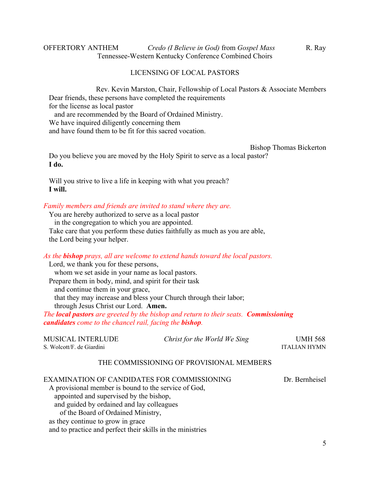## OFFERTORY ANTHEM *Credo (I Believe in God)* from *Gospel Mass* R. Ray Tennessee-Western Kentucky Conference Combined Choirs

#### LICENSING OF LOCAL PASTORS

 Rev. Kevin Marston, Chair, Fellowship of Local Pastors & Associate Members Dear friends, these persons have completed the requirements for the license as local pastor

 and are recommended by the Board of Ordained Ministry. We have inquired diligently concerning them and have found them to be fit for this sacred vocation.

Bishop Thomas Bickerton Do you believe you are moved by the Holy Spirit to serve as a local pastor?  **I do.**

 Will you strive to live a life in keeping with what you preach?  **I will.**

#### *Family members and friends are invited to stand where they are.*

 You are hereby authorized to serve as a local pastor in the congregation to which you are appointed. Take care that you perform these duties faithfully as much as you are able, the Lord being your helper.

*As the bishop prays, all are welcome to extend hands toward the local pastors.*

 Lord, we thank you for these persons, whom we set aside in your name as local pastors. Prepare them in body, mind, and spirit for their task and continue them in your grace, that they may increase and bless your Church through their labor; through Jesus Christ our Lord. **Amen.**

*The local pastors are greeted by the bishop and return to their seats. Commissioning candidates come to the chancel rail, facing the bishop.*

| MUSICAL INTERLUDE<br>S. Wolcott/F. de Giardini                                                                                                                                                                                                                                                                                       | Christ for the World We Sing             | <b>UMH 568</b><br><b>ITALIAN HYMN</b> |
|--------------------------------------------------------------------------------------------------------------------------------------------------------------------------------------------------------------------------------------------------------------------------------------------------------------------------------------|------------------------------------------|---------------------------------------|
|                                                                                                                                                                                                                                                                                                                                      | THE COMMISSIONING OF PROVISIONAL MEMBERS |                                       |
| EXAMINATION OF CANDIDATES FOR COMMISSIONING<br>A provisional member is bound to the service of God,<br>appointed and supervised by the bishop,<br>and guided by ordained and lay colleagues<br>of the Board of Ordained Ministry,<br>as they continue to grow in grace<br>and to practice and perfect their skills in the ministries |                                          | Dr. Bernheisel                        |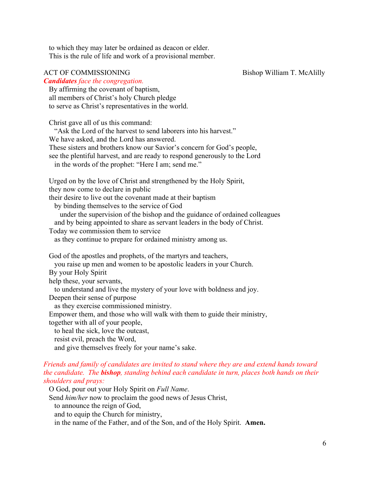to which they may later be ordained as deacon or elder. This is the rule of life and work of a provisional member.

## ACT OF COMMISSIONING Bishop William T. McAlilly

## *Candidates face the congregation.*

 By affirming the covenant of baptism, all members of Christ's holy Church pledge to serve as Christ's representatives in the world.

 Christ gave all of us this command: "Ask the Lord of the harvest to send laborers into his harvest." We have asked, and the Lord has answered. These sisters and brothers know our Savior's concern for God's people, see the plentiful harvest, and are ready to respond generously to the Lord in the words of the prophet: "Here I am; send me." Urged on by the love of Christ and strengthened by the Holy Spirit, they now come to declare in public their desire to live out the covenant made at their baptism by binding themselves to the service of God under the supervision of the bishop and the guidance of ordained colleagues and by being appointed to share as servant leaders in the body of Christ. Today we commission them to service as they continue to prepare for ordained ministry among us. God of the apostles and prophets, of the martyrs and teachers, you raise up men and women to be apostolic leaders in your Church. By your Holy Spirit help these, your servants, to understand and live the mystery of your love with boldness and joy. Deepen their sense of purpose as they exercise commissioned ministry. Empower them, and those who will walk with them to guide their ministry, together with all of your people, to heal the sick, love the outcast, resist evil, preach the Word, and give themselves freely for your name's sake.

## *Friends and family of candidates are invited to stand where they are and extend hands toward the candidate. The bishop, standing behind each candidate in turn, places both hands on their shoulders and prays:*

O God, pour out your Holy Spirit on *Full Name*.

Send *him/her* now to proclaim the good news of Jesus Christ,

to announce the reign of God,

and to equip the Church for ministry,

in the name of the Father, and of the Son, and of the Holy Spirit. **Amen.**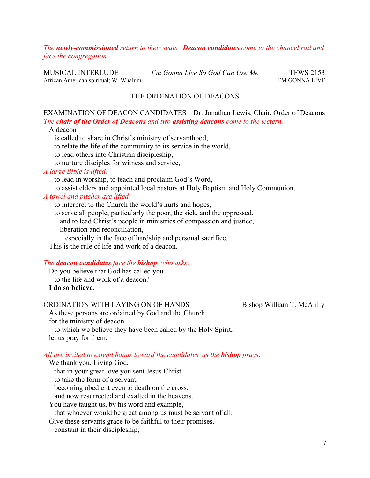## *The newly-commissioned return to their seats. Deacon candidates come to the chancel rail and face the congregation.*

MUSICAL INTERLUDE *I'm Gonna Live So God Can Use Me* TFWS 2153 African American spiritual; W. Whalum I'M GONNA LIVE

## THE ORDINATION OF DEACONS

## EXAMINATION OF DEACON CANDIDATES Dr. Jonathan Lewis, Chair, Order of Deacons *The chair of the Order of Deacons and two assisting deacons come to the lectern.*

A deacon

is called to share in Christ's ministry of servanthood,

to relate the life of the community to its service in the world,

to lead others into Christian discipleship,

to nurture disciples for witness and service,

## *A large Bible is lifted.*

to lead in worship, to teach and proclaim God's Word,

to assist elders and appointed local pastors at Holy Baptism and Holy Communion,

## *A towel and pitcher are lifted.*

to interpret to the Church the world's hurts and hopes,

to serve all people, particularly the poor, the sick, and the oppressed,

- and to lead Christ's people in ministries of compassion and justice,
- liberation and reconciliation,

especially in the face of hardship and personal sacrifice.

This is the rule of life and work of a deacon.

#### *The deacon candidates face the bishop, who asks:*

 Do you believe that God has called you to the life and work of a deacon?  **I do so believe.**

#### ORDINATION WITH LAYING ON OF HANDS Bishop William T. McAlilly

 As these persons are ordained by God and the Church for the ministry of deacon to which we believe they have been called by the Holy Spirit, let us pray for them.

## *All are invited to extend hands toward the candidates, as the bishop prays:*

 We thank you, Living God, that in your great love you sent Jesus Christ to take the form of a servant, becoming obedient even to death on the cross, and now resurrected and exalted in the heavens. You have taught us, by his word and example, that whoever would be great among us must be servant of all. Give these servants grace to be faithful to their promises, constant in their discipleship,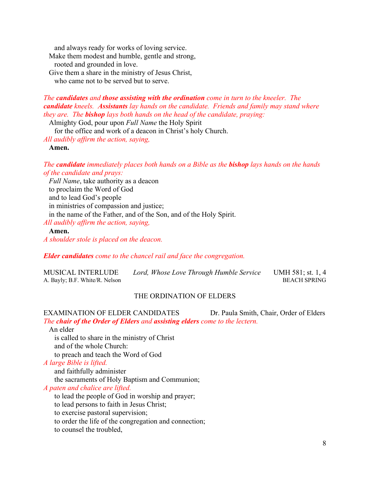and always ready for works of loving service. Make them modest and humble, gentle and strong,

rooted and grounded in love.

Give them a share in the ministry of Jesus Christ,

who came not to be served but to serve.

## *The candidates and those assisting with the ordination come in turn to the kneeler. The candidate kneels. Assistants lay hands on the candidate. Friends and family may stand where they are. The bishop lays both hands on the head of the candidate, praying:*

Almighty God, pour upon *Full Name* the Holy Spirit

for the office and work of a deacon in Christ's holy Church.

*All audibly affirm the action, saying,*

 **Amen.**

*The candidate immediately places both hands on a Bible as the bishop lays hands on the hands of the candidate and prays:*

 *Full Name*, take authority as a deacon to proclaim the Word of God and to lead God's people in ministries of compassion and justice; in the name of the Father, and of the Son, and of the Holy Spirit. *All audibly affirm the action, saying,*

## **Amen.**

*A shoulder stole is placed on the deacon.* 

*Elder candidates come to the chancel rail and face the congregation.*

| <b>MUSICAL INTERLUDE</b>       | Lord, Whose Love Through Humble Service | UMH 581; st. 1, 4   |
|--------------------------------|-----------------------------------------|---------------------|
| A. Bayly; B.F. White/R. Nelson |                                         | <b>BEACH SPRING</b> |

## THE ORDINATION OF ELDERS

EXAMINATION OF ELDER CANDIDATES Dr. Paula Smith, Chair, Order of Elders *The chair of the Order of Elders and assisting elders come to the lectern.*

 An elder is called to share in the ministry of Christ and of the whole Church: to preach and teach the Word of God *A large Bible is lifted.* and faithfully administer the sacraments of Holy Baptism and Communion; *A paten and chalice are lifted.*

to lead the people of God in worship and prayer;

to lead persons to faith in Jesus Christ;

to exercise pastoral supervision;

to order the life of the congregation and connection;

to counsel the troubled,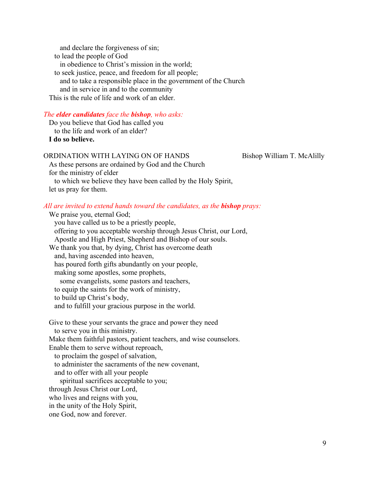and declare the forgiveness of sin; to lead the people of God in obedience to Christ's mission in the world; to seek justice, peace, and freedom for all people; and to take a responsible place in the government of the Church and in service in and to the community This is the rule of life and work of an elder.

## *The elder candidates face the bishop, who asks:*

 Do you believe that God has called you to the life and work of an elder?  **I do so believe.**

## ORDINATION WITH LAYING ON OF HANDS Bishop William T. McAlilly

 As these persons are ordained by God and the Church for the ministry of elder to which we believe they have been called by the Holy Spirit, let us pray for them.

## *All are invited to extend hands toward the candidates, as the bishop prays:* We praise you, eternal God;

 you have called us to be a priestly people, offering to you acceptable worship through Jesus Christ, our Lord, Apostle and High Priest, Shepherd and Bishop of our souls. We thank you that, by dying, Christ has overcome death and, having ascended into heaven, has poured forth gifts abundantly on your people, making some apostles, some prophets, some evangelists, some pastors and teachers, to equip the saints for the work of ministry, to build up Christ's body, and to fulfill your gracious purpose in the world.

 Give to these your servants the grace and power they need to serve you in this ministry. Make them faithful pastors, patient teachers, and wise counselors. Enable them to serve without reproach, to proclaim the gospel of salvation, to administer the sacraments of the new covenant, and to offer with all your people spiritual sacrifices acceptable to you; through Jesus Christ our Lord, who lives and reigns with you, in the unity of the Holy Spirit, one God, now and forever.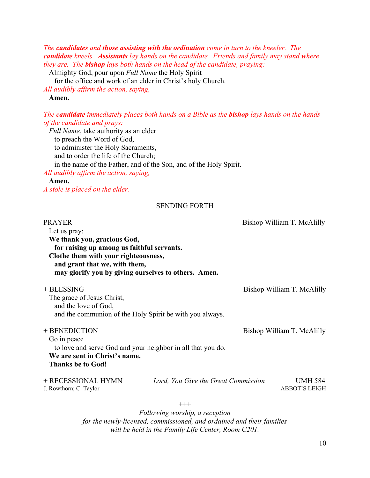*The candidates and those assisting with the ordination come in turn to the kneeler. The candidate kneels. Assistants lay hands on the candidate. Friends and family may stand where they are. The bishop lays both hands on the head of the candidate, praying:*

Almighty God, pour upon *Full Name* the Holy Spirit

for the office and work of an elder in Christ's holy Church.

*All audibly affirm the action, saying,*

## **Amen.**

*The candidate immediately places both hands on a Bible as the bishop lays hands on the hands of the candidate and prays:*

 *Full Name*, take authority as an elder to preach the Word of God, to administer the Holy Sacraments, and to order the life of the Church; in the name of the Father, and of the Son, and of the Holy Spirit. *All audibly affirm the action, saying,*

## **Amen.**

*A stole is placed on the elder.* 

## SENDING FORTH

| <b>PRAYER</b><br>Let us pray:<br>We thank you, gracious God,<br>for raising up among us faithful servants.<br>Clothe them with your righteousness,<br>and grant that we, with them,<br>may glorify you by giving ourselves to others. Amen. |                                            | Bishop William T. McAlilly             |
|---------------------------------------------------------------------------------------------------------------------------------------------------------------------------------------------------------------------------------------------|--------------------------------------------|----------------------------------------|
| + BLESSING<br>The grace of Jesus Christ,<br>and the love of God,<br>and the communion of the Holy Spirit be with you always.                                                                                                                |                                            | Bishop William T. McAlilly             |
| + BENEDICTION<br>Go in peace<br>to love and serve God and your neighbor in all that you do.<br>We are sent in Christ's name.<br><b>Thanks be to God!</b>                                                                                    |                                            | Bishop William T. McAlilly             |
| + RECESSIONAL HYMN<br>J. Rowthorn; C. Taylor                                                                                                                                                                                                | Lord, You Give the Great Commission        | <b>UMH 584</b><br><b>ABBOT'S LEIGH</b> |
|                                                                                                                                                                                                                                             | $^{+++}$<br>Following worship, a reception |                                        |

*for the newly-licensed, commissioned, and ordained and their families will be held in the Family Life Center, Room C201.*